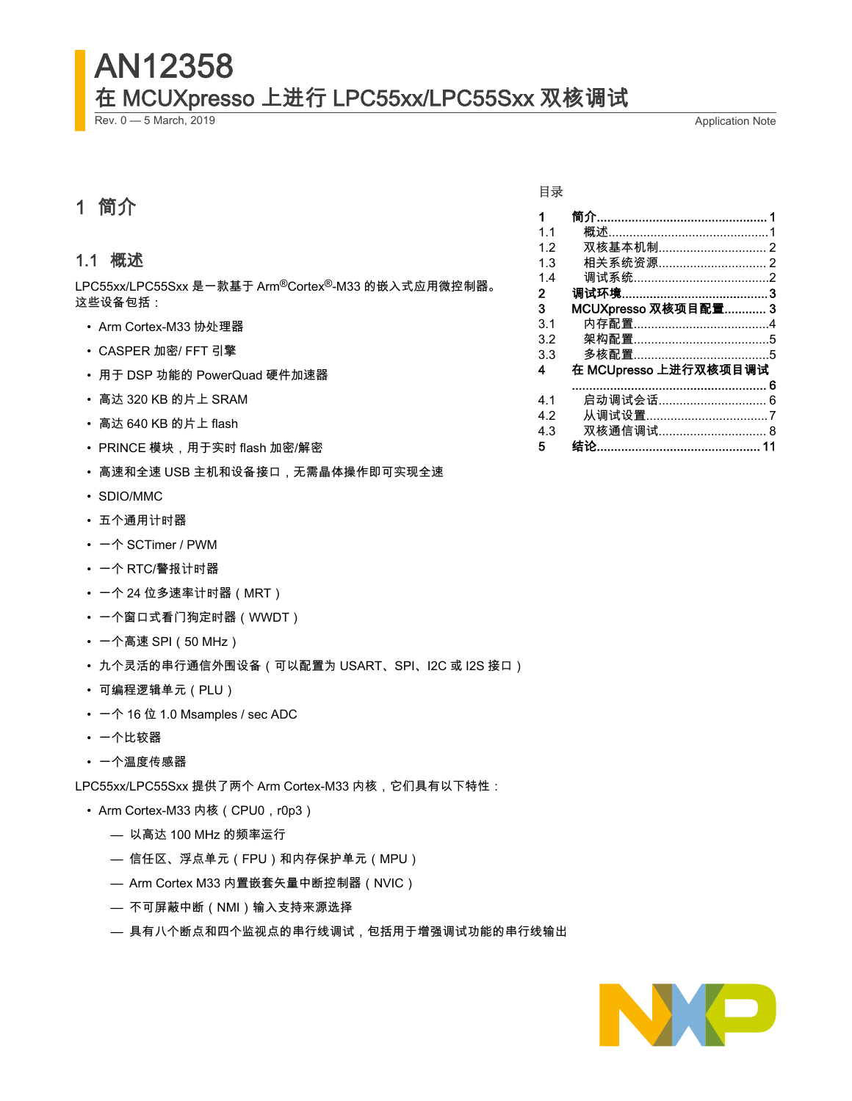# AN12358 在 MCUXpresso 上进行 LPC55xx/LPC55Sxx 双核调试

Rev. 0 — 5 March, 2019 **Application Note** 

# 1 简介

#### 1.1 概述

LPC55xx/LPC55Sxx 是一款基于 Arm®Cortex®-M33 的嵌入式应用微控制器。 这些设备包括:

- Arm Cortex-M33 协处理器
- CASPER 加密/ FFT 引擎
- 用于 DSP 功能的 PowerQuad 硬件加速器
- 高达 320 KB 的片上 SRAM
- 高达 640 KB 的片上 flash
- PRINCE 模块,用于实时 flash 加密/解密
- 高速和全速 USB 主机和设备接口,无需晶体操作即可实现全速
- SDIO/MMC
- 五个通用计时器
- 一个 SCTimer / PWM
- 一个 RTC/警报计时器
- 一个 24 位多速率计时器(MRT)
- 一个窗口式看门狗定时器(WWDT)
- 一个高速 SPI(50 MHz)
- 九个灵活的串行通信外围设备(可以配置为 USART、SPI、I2C 或 I2S 接口)
- 可编程逻辑单元(PLU)
- 一个 16 位 1.0 Msamples / sec ADC
- 一个比较器
- 一个温度传感器

LPC55xx/LPC55Sxx 提供了两个 Arm Cortex-M33 内核,它们具有以下特性:

- Arm Cortex-M33 内核 (CPU0, r0p3)
	- 以高达 100 MHz 的频率运行
	- 信任区、浮点单元(FPU)和内存保护单元(MPU)
	- Arm Cortex M33 内置嵌套矢量中断控制器(NVIC)
	- 不可屏蔽中断(NMI)输入支持来源选择
	- 具有八个断点和四个监视点的串行线调试,包括用于增强调试功能的串行线输出

#### 目录

| $\mathbf 1$ |                       |  |
|-------------|-----------------------|--|
| 1.1         |                       |  |
| 1.2         |                       |  |
| 1.3         |                       |  |
| 1.4         |                       |  |
| 2           |                       |  |
| 3           | MCUXpresso 双核项目配置 3   |  |
| 3.1         |                       |  |
| 3.2         |                       |  |
| 3.3         |                       |  |
| 4           | 在 MCUpresso 上进行双核项目调试 |  |
|             |                       |  |
| 41          | 启动调试会话 6              |  |
| 4.2         |                       |  |
| 4.3         | 双核通信调试 8              |  |
| 5           |                       |  |
|             |                       |  |

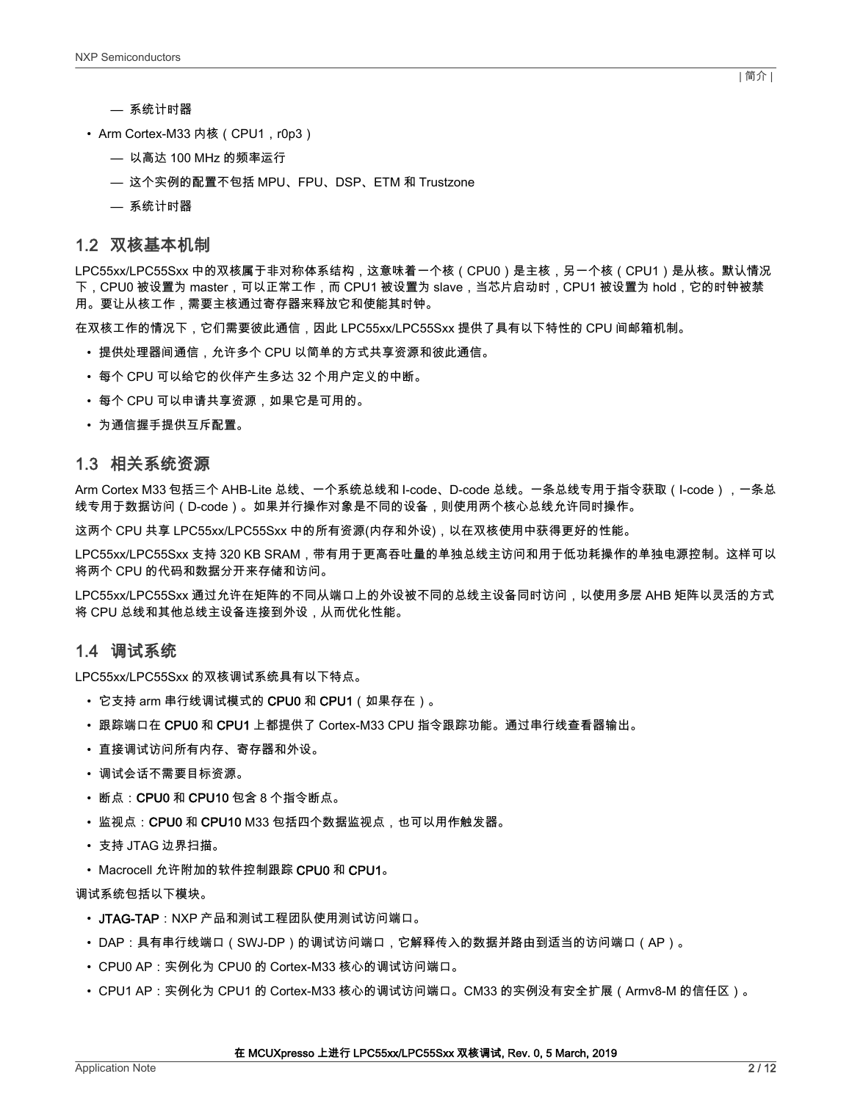- <span id="page-1-0"></span>— 系统计时器
- Arm Cortex-M33 内核 (CPU1, r0p3)
	- 以高达 100 MHz 的频率运行
	- 这个实例的配置不包括 MPU、FPU、DSP、ETM 和 Trustzone
	- 系统计时器

#### 1.2 双核基本机制

LPC55xx/LPC55Sxx 中的双核属于非对称体系结构,这意味着一个核(CPU0)是主核,另一个核(CPU1)是从核。默认情况 下,CPU0 被设置为 master,可以正常工作,而 CPU1 被设置为 slave,当芯片启动时,CPU1 被设置为 hold,它的时钟被禁 用。要让从核工作,需要主核通过寄存器来释放它和使能其时钟。

在双核工作的情况下,它们需要彼此通信,因此 LPC55xx/LPC55Sxx 提供了具有以下特性的 CPU 间邮箱机制。

- 提供处理器间通信,允许多个 CPU 以简单的方式共享资源和彼此通信。
- 每个 CPU 可以给它的伙伴产生多达 32 个用户定义的中断。
- 每个 CPU 可以申请共享资源,如果它是可用的。
- 为通信握手提供互斥配置。

#### 1.3 相关系统资源

Arm Cortex M33 包括三个 AHB-Lite 总线、一个系统总线和 I-code、D-code 总线。一条总线专用于指令获取(I-code),一条总 线专用于数据访问(D-code)。如果并行操作对象是不同的设备,则使用两个核心总线允许同时操作。

这两个 CPU 共享 LPC55xx/LPC55Sxx 中的所有资源(内存和外设),以在双核使用中获得更好的性能。

LPC55xx/LPC55Sxx 支持 320 KB SRAM,带有用于更高吞吐量的单独总线主访问和用于低功耗操作的单独电源控制。这样可以 将两个 CPU 的代码和数据分开来存储和访问。

LPC55xx/LPC55Sxx 通过允许在矩阵的不同从端口上的外设被不同的总线主设备同时访问,以使用多层 AHB 矩阵以灵活的方式 将 CPU 总线和其他总线主设备连接到外设,从而优化性能。

#### 1.4 调试系统

LPC55xx/LPC55Sxx 的双核调试系统具有以下特点。

- 它支持 arm 串行线调试模式的 CPU0 和 CPU1(如果存在)。
- 跟踪端口在 CPU0 和 CPU1 上都提供了 Cortex-M33 CPU 指令跟踪功能。通过串行线查看器输出。
- 直接调试访问所有内存、寄存器和外设。
- 调试会话不需要目标资源。
- 断点: CPU0 和 CPU10 包含 8 个指令断点。
- 监视点:**CPU0** 和 **CPU10** M33 包括四个数据监视点,也可以用作触发器。
- 支持 JTAG 边界扫描。
- Macrocell 允许附加的软件控制跟踪 CPU0 和 CPU1。

调试系统包括以下模块。

- JTAG-TAP: NXP 产品和测试工程团队使用测试访问端口。
- DAP:具有串行线端口(SWJ-DP)的调试访问端口,它解释传入的数据并路由到适当的访问端口(AP)。
- CPU0 AP:实例化为 CPU0 的 Cortex-M33 核心的调试访问端口。
- CPU1 AP:实例化为 CPU1 的 Cortex-M33 核心的调试访问端口。CM33 的实例没有安全扩展(Armv8-M 的信任区)。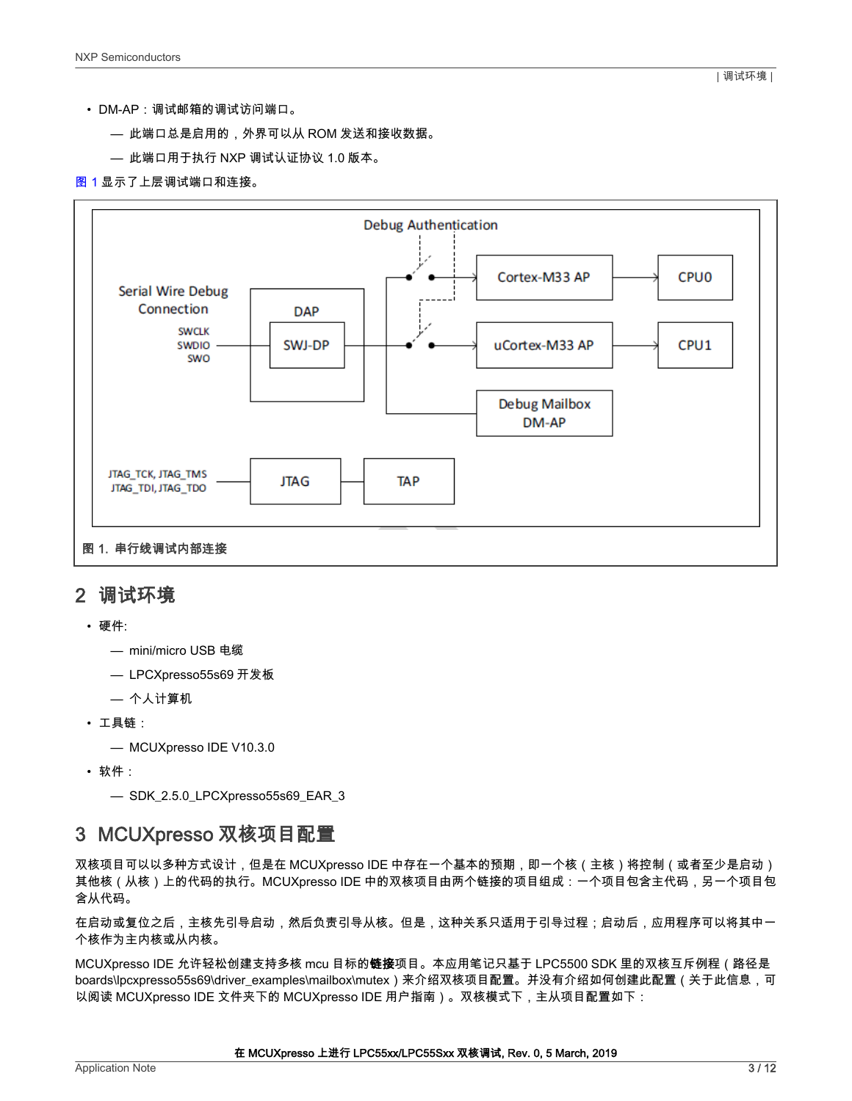- <span id="page-2-0"></span>• DM-AP:调试邮箱的调试访问端口。
	- 此端口总是启用的,外界可以从 ROM 发送和接收数据。
	- 此端口用于执行 NXP 调试认证协议 1.0 版本。

#### 图 1 显示了上层调试端口和连接。



#### 2 调试环境

- 硬件:
	- mini/micro USB 电缆
	- LPCXpresso55s69 开发板
	- 个人计算机
- 工具链:
	- MCUXpresso IDE V10.3.0
- 软件:

```
— SDK_2.5.0_LPCXpresso55s69_EAR_3
```
## 3 MCUXpresso 双核项目配置

双核项目可以以多种方式设计,但是在 MCUXpresso IDE 中存在一个基本的预期,即一个核(主核)将控制(或者至少是启动) 其他核(从核)上的代码的执行。MCUXpresso IDE 中的双核项目由两个链接的项目组成:一个项目包含主代码,另一个项目包 含从代码。

在启动或复位之后,主核先引导启动,然后负责引导从核。但是,这种关系只适用于引导过程;启动后,应用程序可以将其中一 个核作为主内核或从内核。

MCUXpresso IDE 允许轻松创建支持多核 mcu 目标的**链接**项目。本应用笔记只基于 LPC5500 SDK 里的双核互斥例程(路径是 boards\lpcxpresso55s69\driver\_examples\mailbox\mutex)来介绍双核项目配置。并没有介绍如何创建此配置(关于此信息,可 以阅读 MCUXpresso IDE 文件夹下的 MCUXpresso IDE 用户指南)。双核模式下,主从项目配置如下: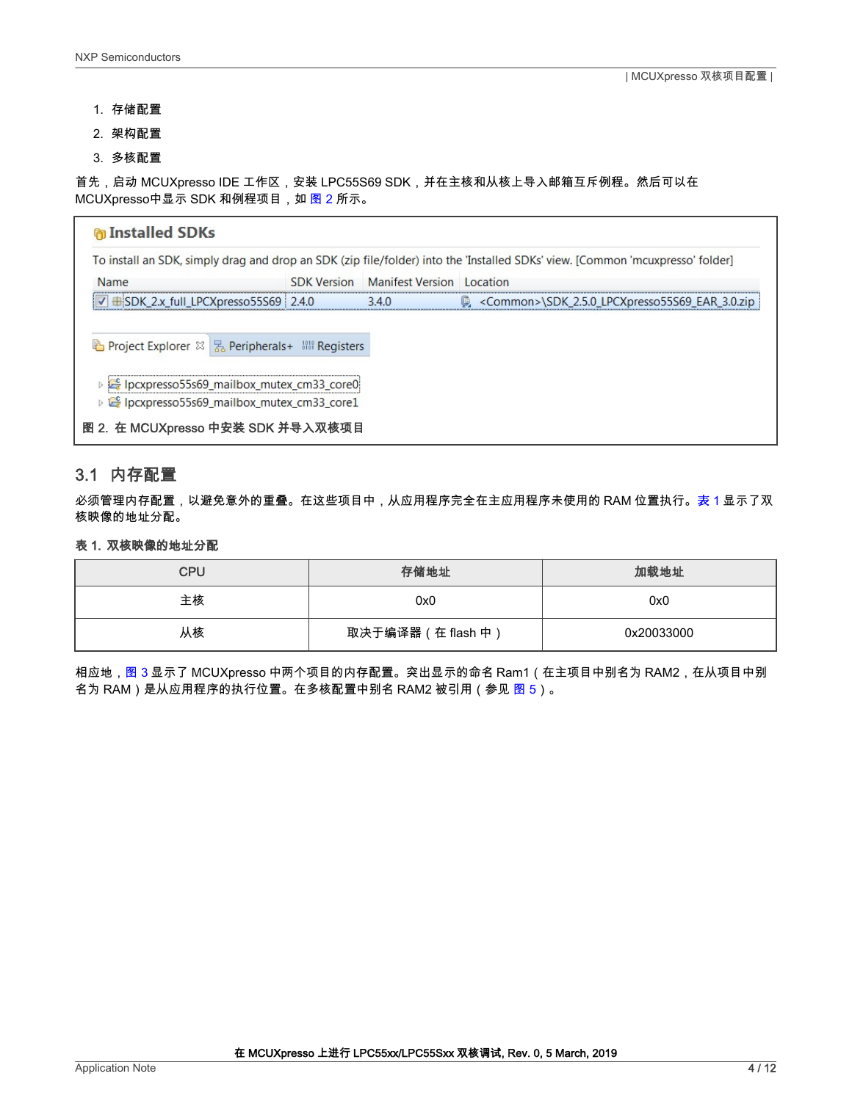- <span id="page-3-0"></span>1. 存储配置
- 2. 架构配置
- 3. 多核配置

首先,启动 MCUXpresso IDE 工作区,安装 LPC55S69 SDK,并在主核和从核上导入邮箱互斥例程。然后可以在 MCUXpresso中显示 SDK 和例程项目,如图 2 所示。

| <b>n</b> Installed SDKs                                  |                    |                           |                                                                                                                               |
|----------------------------------------------------------|--------------------|---------------------------|-------------------------------------------------------------------------------------------------------------------------------|
|                                                          |                    |                           | To install an SDK, simply drag and drop an SDK (zip file/folder) into the 'Installed SDKs' view. [Common 'mcuxpresso' folder] |
| Name                                                     | <b>SDK Version</b> | Manifest Version Location |                                                                                                                               |
| $\triangledown$ $\pm$ SDK_2.x_full_LPCXpresso55S69 2.4.0 |                    | 3.4.0                     | $\circ$ <common>\SDK 2.5.0 LPCXpresso55S69 EAR 3.0.zip</common>                                                               |
| he Project Explorer & B Peripherals+ 圖 Registers         |                    |                           |                                                                                                                               |
| p E Ipcxpresso55s69_mailbox_mutex_cm33_core0             |                    |                           |                                                                                                                               |
| p & Ipcxpresso55s69_mailbox_mutex_cm33_core1             |                    |                           |                                                                                                                               |
| 图 2. 在 MCUXpresso 中安装 SDK 并导入双核项目                        |                    |                           |                                                                                                                               |

#### 3.1 内存配置

必须管理内存配置,以避免意外的重叠。在这些项目中,从应用程序完全在主应用程序未使用的 RAM 位置执行。表 1 显示了双 核映像的地址分配。

#### 表 1. 双核映像的地址分配

| <b>CPU</b> | 存储地址               | 加载地址       |
|------------|--------------------|------------|
| 主核         | 0x0                | 0x0        |
| 从核         | 取决于编译器 (在 flash 中) | 0x20033000 |

相应地,<mark>图 3 显示了 MCUXpresso 中两个项目的内存配置。突出显示的命名 Ram1(在主项目中别名为 RAM2,在从项目中别</mark> 名为 RAM)是从应用程序的执行位置。在多核配置中别名 RAM2 被引用(参见 [图 5\)](#page-5-0)。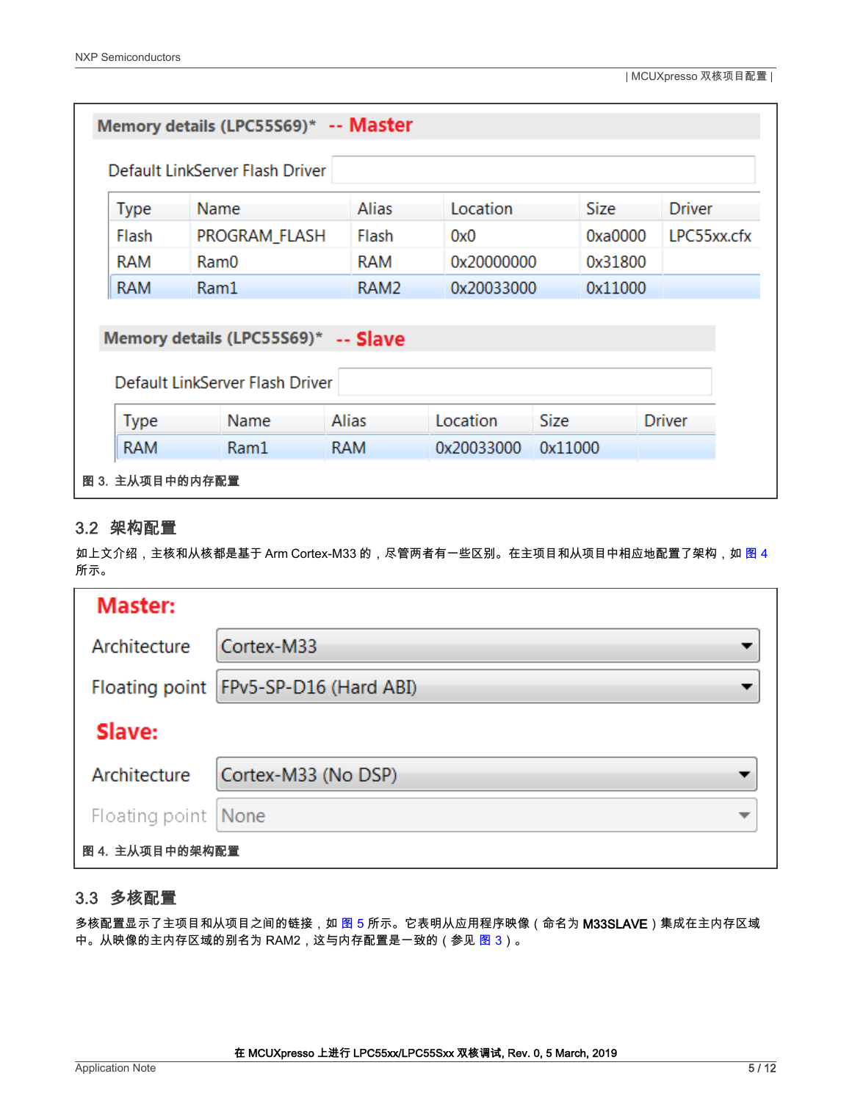<span id="page-4-0"></span>

|             | Memory details (LPC55S69)* -- Master |                  |            |             |               |  |  |  |  |
|-------------|--------------------------------------|------------------|------------|-------------|---------------|--|--|--|--|
|             | Default LinkServer Flash Driver      |                  |            |             |               |  |  |  |  |
| <b>Type</b> | Name                                 | <b>Alias</b>     | Location   | <b>Size</b> | <b>Driver</b> |  |  |  |  |
| Flash       | PROGRAM_FLASH                        | Flash            | 0x0        | 0xa0000     | LPC55xx.cfx   |  |  |  |  |
| <b>RAM</b>  | Ram0                                 | <b>RAM</b>       | 0x20000000 | 0x31800     |               |  |  |  |  |
| <b>RAM</b>  | Ram1                                 | RAM <sub>2</sub> | 0x20033000 | 0x11000     |               |  |  |  |  |
|             |                                      |                  |            |             |               |  |  |  |  |
|             | Memory details (LPC55S69)* -- Slave  |                  |            |             |               |  |  |  |  |
|             | Default LinkServer Flash Driver      |                  |            |             |               |  |  |  |  |
|             |                                      |                  |            |             |               |  |  |  |  |
| <b>Type</b> | Name                                 | <b>Alias</b>     | Location   | <b>Size</b> | <b>Driver</b> |  |  |  |  |
| <b>RAM</b>  | Ram1                                 | <b>RAM</b>       | 0x20033000 | 0x11000     |               |  |  |  |  |
|             | 图 3. 主从项目中的内存配置                      |                  |            |             |               |  |  |  |  |

#### 3.2 架构配置

如上文介绍,主核和从核都是基于 Arm Cortex-M33 的,尽管两者有一些区别。在主项目和从项目中相应地配置了架构,如 图 4 所示。

| Master:             |                                       |  |
|---------------------|---------------------------------------|--|
| Architecture        | Cortex-M33                            |  |
|                     | Floating point FPv5-SP-D16 (Hard ABI) |  |
| Slave:              |                                       |  |
| Architecture        | Cortex-M33 (No DSP)                   |  |
| Floating point None |                                       |  |
| 图 4. 主从项目中的架构配置     |                                       |  |

### 3.3 多核配置

多核配置显示了主项目和从项目之间的链接,如 [图 5](#page-5-0) 所示。它表明从应用程序映像(命名为 M33SLAVE)集成在主内存区域 中。从映像的主内存区域的别名为 RAM2,这与内存配置是一致的(参见 图 3)。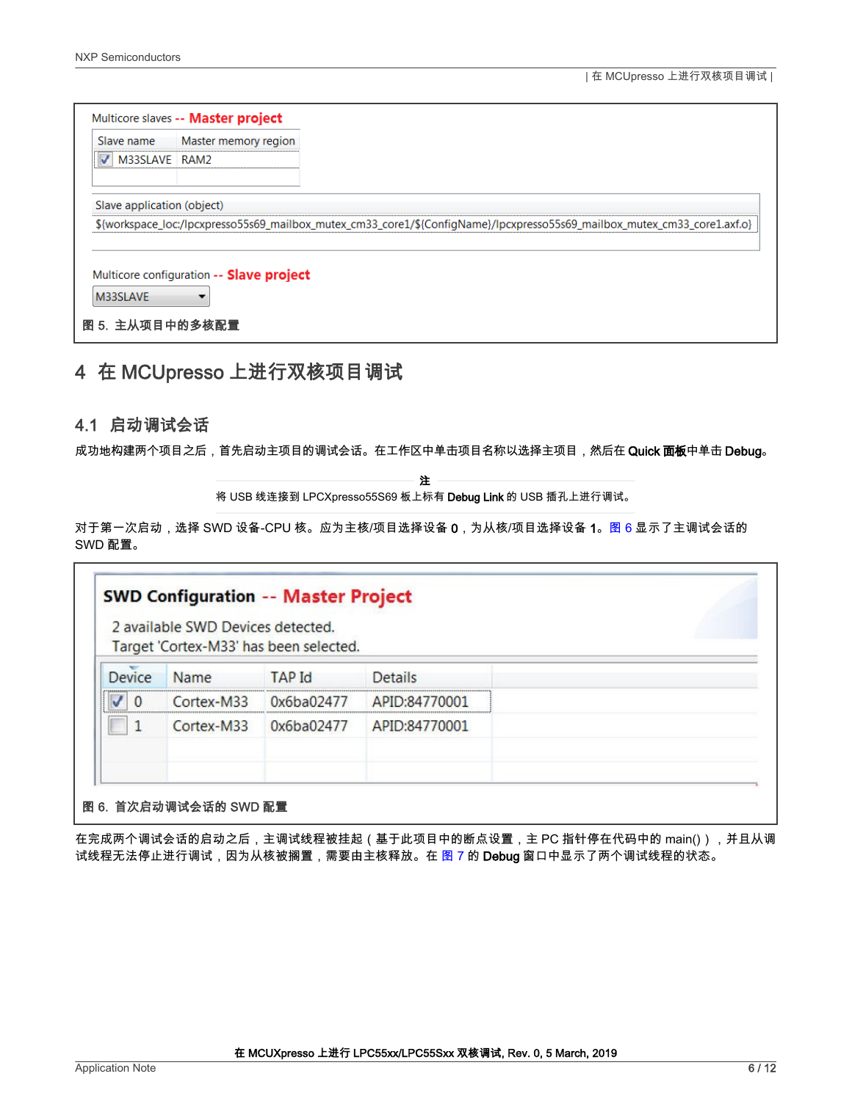<span id="page-5-0"></span>

| Slave name                 | Master memory region                     |                                                                                                                           |
|----------------------------|------------------------------------------|---------------------------------------------------------------------------------------------------------------------------|
| M33SLAVE RAM2              |                                          |                                                                                                                           |
| Slave application (object) |                                          | \${workspace_loc:/lpcxpresso55s69_mailbox_mutex_cm33_core1/\${ConfigName}/lpcxpresso55s69_mailbox_mutex_cm33_core1.axf.o} |
|                            |                                          |                                                                                                                           |
|                            | Multicore configuration -- Slave project |                                                                                                                           |
|                            |                                          |                                                                                                                           |

# 4 在 MCUpresso 上进行双核项目调试

#### 4.1 启动调试会话

Г

成功地构建两个项目之后,首先启动主项目的调试会话。在工作区中单击项目名称以选择主项目,然后在 Quick **面板**中单击 Debug。

注

将 USB 线连接到 LPCXpresso55S69 板上标有 Debug Link 的 USB 插孔上进行调试。

对于第一次启动,选择 SWD 设备-CPU 核。应为主核/项目选择设备 0,为从核/项目选择设备 1。图 6 显示了主调试会话的 SWD 配置。

|        |            | Target 'Cortex-M33' has been selected. |                |  |
|--------|------------|----------------------------------------|----------------|--|
| Device | Name       | <b>TAP</b> Id                          | <b>Details</b> |  |
|        | Cortex-M33 | 0x6ba02477                             | APID:84770001  |  |
|        | Cortex-M33 | 0x6ba02477                             | APID:84770001  |  |

在完成两个调试会话的启动之后,主调试线程被挂起(基于此项目中的断点设置,主 PC 指针停在代码中的 main()),并且从调 试线程无法停止进行调试,因为从核被搁置,需要由主核释放。在 [图 7](#page-6-0) 的 Debug 窗口中显示了两个调试线程的状态。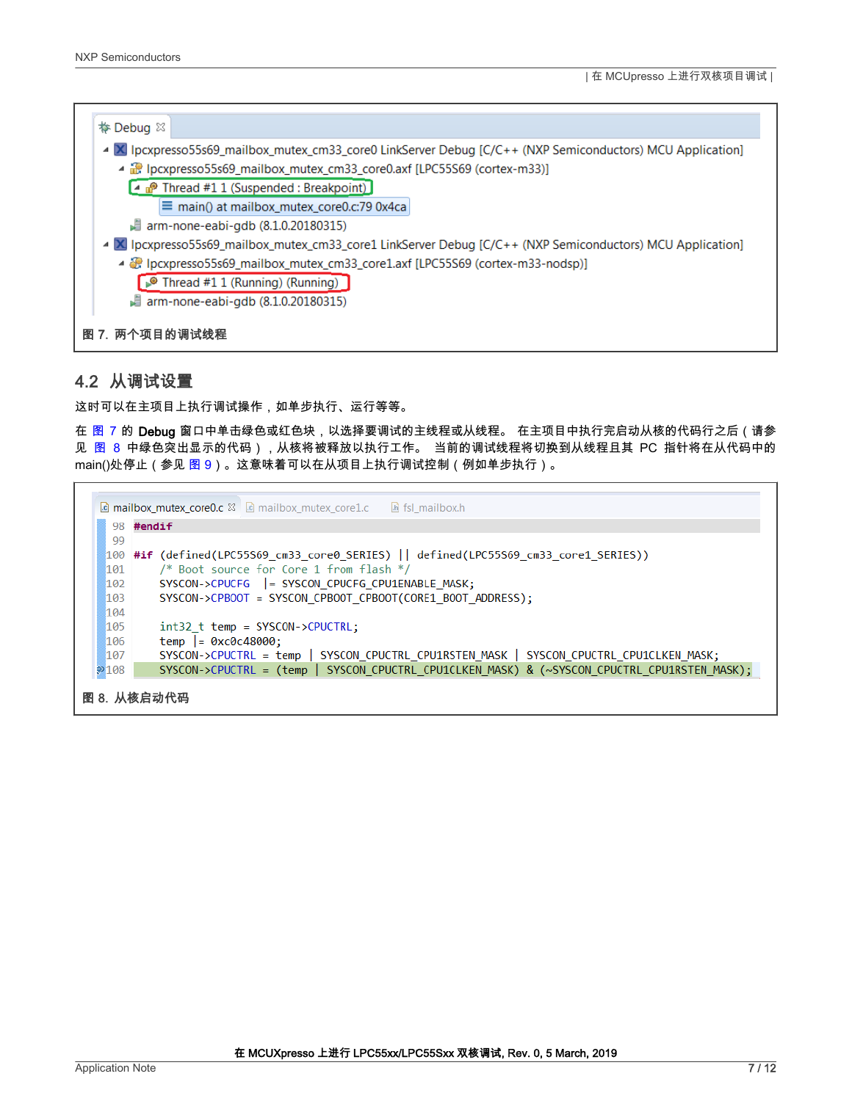<span id="page-6-0"></span>

#### 4.2 从调试设置

这时可以在主项目上执行调试操作,如单步执行、运行等等。

在 图 7 的 Debug 窗口中单击绿色或红色块,以选择要调试的主线程或从线程。 在主项目中执行完启动从核的代码行之后(请参 见 图 8 中绿色突出显示的代码),从核将被释放以执行工作。 当前的调试线程将切换到从线程且其 PC 指针将在从代码中的 main()处停止(参见 [图 9](#page-7-0))。这意味着可以在从项目上执行调试控制(例如单步执行)。

|             | <b>a mailbox_mutex_core0.c</b> $\boxtimes$ <b>a</b> mailbox_mutex_core1.c<br>h fsl mailbox.h |  |  |  |  |  |  |
|-------------|----------------------------------------------------------------------------------------------|--|--|--|--|--|--|
| 98 #endif   |                                                                                              |  |  |  |  |  |  |
| 99          |                                                                                              |  |  |  |  |  |  |
|             | 100 #if (defined(LPC55S69_cm33_core0_SERIES)    defined(LPC55S69_cm33_core1_SERIES))         |  |  |  |  |  |  |
| 101         | /* Boot source for Core 1 from flash */                                                      |  |  |  |  |  |  |
| 102         | SYSCON->CPUCFG  = SYSCON CPUCFG CPU1ENABLE MASK;                                             |  |  |  |  |  |  |
| 103         | SYSCON->CPBOOT = SYSCON CPBOOT CPBOOT(CORE1 BOOT ADDRESS);                                   |  |  |  |  |  |  |
| 104         |                                                                                              |  |  |  |  |  |  |
| 105         | $int32$ t temp = SYSCON->CPUCTRL:                                                            |  |  |  |  |  |  |
| 106         | $temp$ = 0xc0c48000;                                                                         |  |  |  |  |  |  |
| 107         | SYSCON->CPUCTRL = temp   SYSCON_CPUCTRL_CPU1RSTEN_MASK   SYSCON_CPUCTRL_CPU1CLKEN_MASK;      |  |  |  |  |  |  |
| 2108        | SYSCON->CPUCTRL = (temp   SYSCON CPUCTRL CPU1CLKEN MASK) & (~SYSCON CPUCTRL CPU1RSTEN MASK); |  |  |  |  |  |  |
| 图 8. 从核启动代码 |                                                                                              |  |  |  |  |  |  |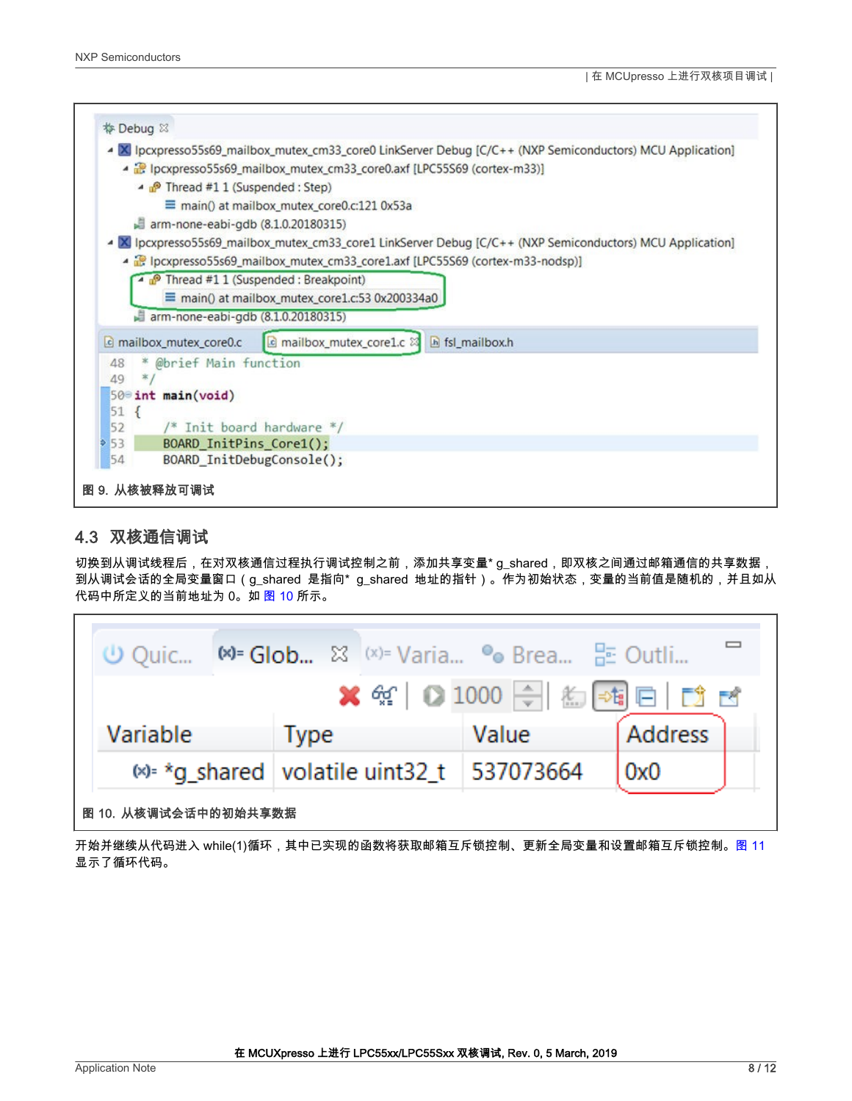<span id="page-7-0"></span>

#### 4.3 双核通信调试

切换到从调试线程后,在对双核通信过程执行调试控制之前,添加共享变量\* g\_shared,即双核之间通过邮箱通信的共享数据, 到从调试会话的全局变量窗口(g\_shared 是指向\* g\_shared 地址的指针)。作为初始状态,变量的当前值是随机的,并且如从 代码中所定义的当前地址为 0。如 图 10 所示。

|                                                         |             |  |       |  | <b>※ ※ 0 1000 ÷ 名画日 13 B</b> |  |
|---------------------------------------------------------|-------------|--|-------|--|------------------------------|--|
| Variable                                                | <b>Type</b> |  | Value |  | Address                      |  |
| $\frac{1}{2}$ *g_shared   volatile uint32_t   537073664 |             |  |       |  | 0x0                          |  |
| 图 10. 从核调试会话中的初始共享数据                                    |             |  |       |  |                              |  |

开始并继续从代码进入 while(1)循环,其中已实现的函数将获取邮箱互斥锁控制、更新全局变量和设置邮箱互斥锁控制。[图](#page-8-0) [11](#page-8-0) 显示了循环代码。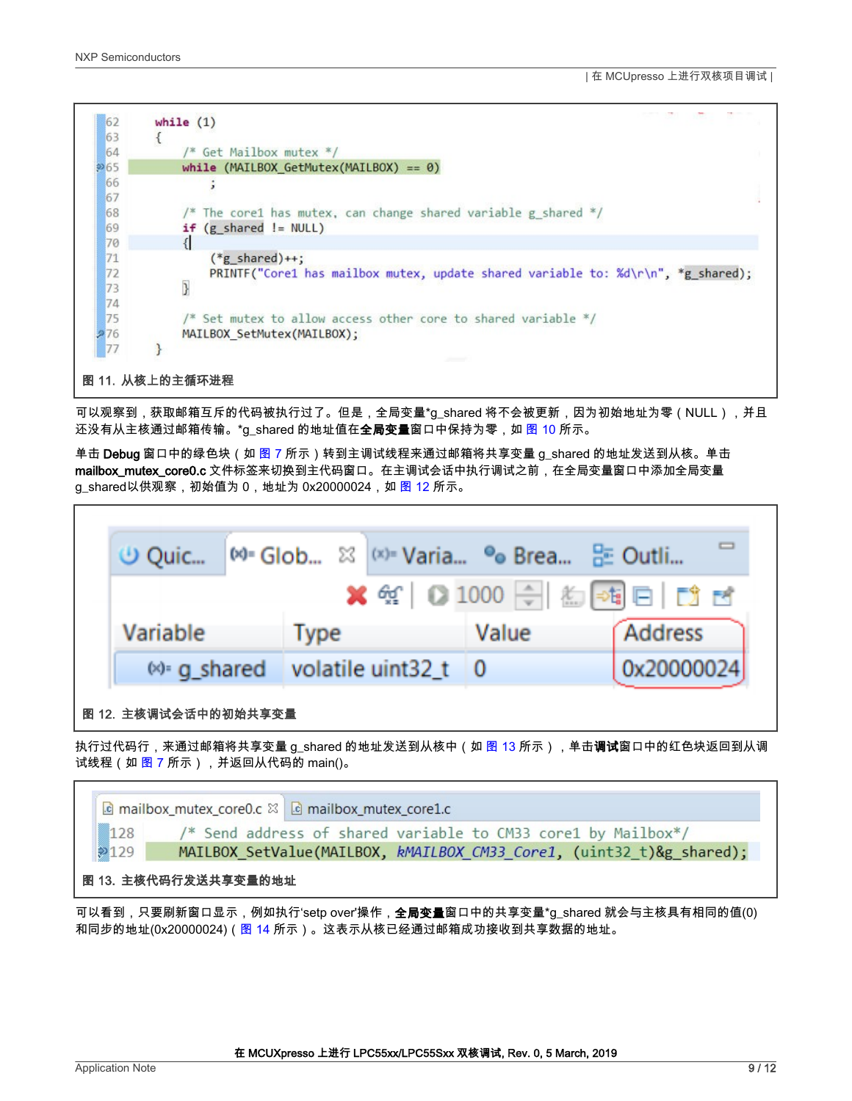<span id="page-8-0"></span>

| 62                   | while $(1)$                                                                                          |
|----------------------|------------------------------------------------------------------------------------------------------|
| 63                   | ί                                                                                                    |
| 64                   | $/*$ Get Mailbox mutex $*/$                                                                          |
| 965                  | while (MAILBOX_GetMutex(MAILBOX) == $\theta$ )                                                       |
| 66<br>67             |                                                                                                      |
| 68                   | /* The core1 has mutex, can change shared variable g shared */                                       |
| 69                   | $if (g shared != NULL)$                                                                              |
| 70                   |                                                                                                      |
| 71<br>72<br>73<br>74 | $(*g shared)++;$<br>PRINTF("Core1 has mailbox mutex, update shared variable to: %d\r\n", *g_shared); |
| 75<br>276            | /* Set mutex to allow access other core to shared variable */<br>MAILBOX SetMutex(MAILBOX);          |
| 77                   |                                                                                                      |
|                      | 图 11. 从核上的主循环进程                                                                                      |

可以观察到,获取邮箱互斥的代码被执行过了。但是,全局变量\*g\_shared 将不会被更新,因为初始地址为零(NULL),并且 还没有从主核通过邮箱传输。\*g\_shared 的地址值在**全局变量**窗口中保持为零,如 [图 10](#page-7-0) 所示。

单击 **Debug** 窗口中的绿色块(如 [图 7](#page-6-0) 所示)转到主调试线程来通过邮箱将共享变量 g\_shared 的地址发送到从核。单击 mailbox\_mutex\_core0.c 文件标签来切换到主代码窗口。在主调试会话中执行调试之前,在全局变量窗口中添加全局变量 g\_shared以供观察,初始值为 0,地址为 0x20000024,如 图 12 所示。

| <b><i>⊕</i></b> Quic          | $\infty$ Glob $\infty$ (x) Varia $\infty$ Brea $\infty$ Outli              |                                                                                                                                                                                                                                                                                                                     |            |
|-------------------------------|----------------------------------------------------------------------------|---------------------------------------------------------------------------------------------------------------------------------------------------------------------------------------------------------------------------------------------------------------------------------------------------------------------|------------|
|                               |                                                                            | $\frac{1}{2}$ $\frac{1}{2}$ $\frac{1}{2}$ $\frac{1}{2}$ $\frac{1}{2}$ $\frac{1}{2}$ $\frac{1}{2}$ $\frac{1}{2}$ $\frac{1}{2}$ $\frac{1}{2}$ $\frac{1}{2}$ $\frac{1}{2}$ $\frac{1}{2}$ $\frac{1}{2}$ $\frac{1}{2}$ $\frac{1}{2}$ $\frac{1}{2}$ $\frac{1}{2}$ $\frac{1}{2}$ $\frac{1}{2}$ $\frac{1}{2}$ $\frac{1}{2}$ |            |
| Variable                      | <b>Type</b>                                                                | Value                                                                                                                                                                                                                                                                                                               | Address    |
| $(x)$ - q shared              | volatile uint $32 \pm 0$                                                   |                                                                                                                                                                                                                                                                                                                     | 0x20000024 |
| 图 12. 主核调试会话中的初始共享变量          |                                                                            |                                                                                                                                                                                                                                                                                                                     |            |
| 试线程(如 图 7 所示),并返回从代码的 main()。 | ﹐执行过代码行,来通过邮箱将共享变量 g_shared 的地址发送到从核中(如 图 13 所示),单击 <b>调试</b> 窗口中的红色块返回到从调 |                                                                                                                                                                                                                                                                                                                     |            |



可以看到,只要刷新窗口显示,例如执行'setp over'操作,**全局变量**窗口中的共享变量\*g\_shared 就会与主核具有相同的值(0) 和同步的地址(0x20000024)([图 14](#page-9-0) 所示)。这表示从核已经通过邮箱成功接收到共享数据的地址。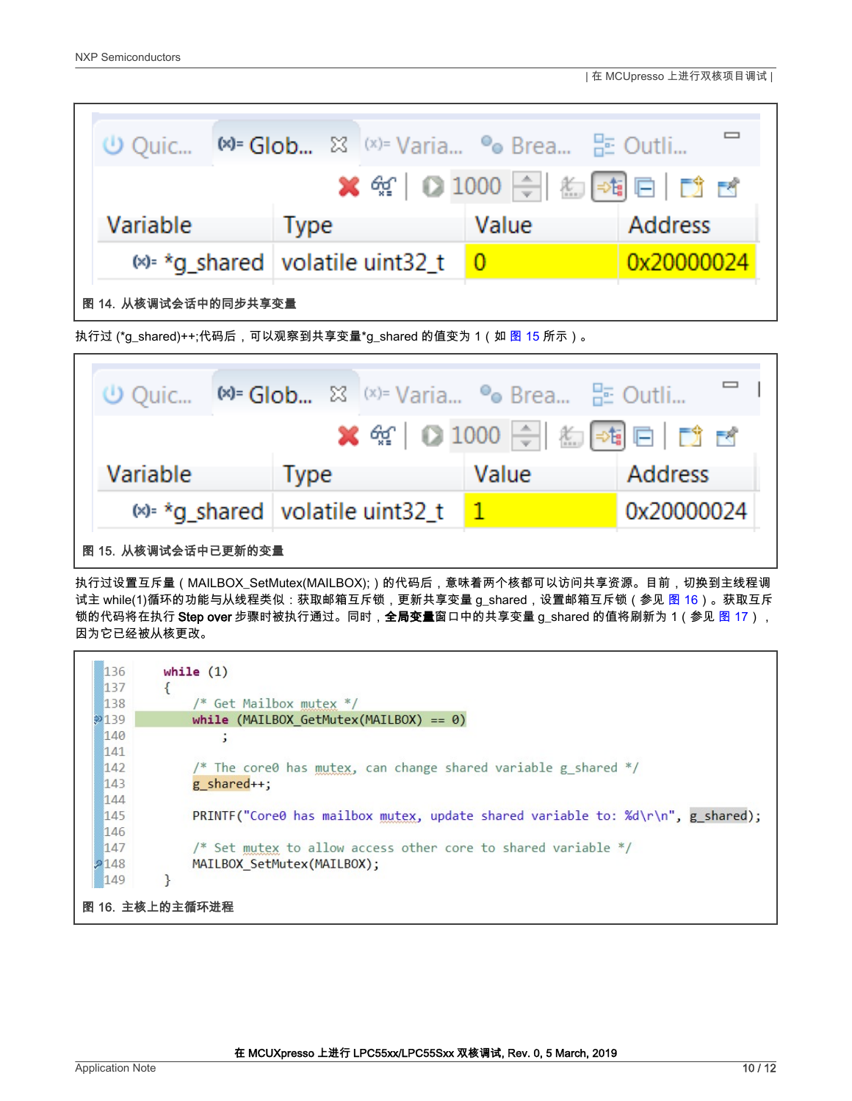r

<span id="page-9-0"></span>

|                      |             | <b>①</b> Quic   (×)= Glob ⊠ (×)= Varia • • Brea He Outli |       |                                                                                                                                                                                                                                                                                                                     |
|----------------------|-------------|----------------------------------------------------------|-------|---------------------------------------------------------------------------------------------------------------------------------------------------------------------------------------------------------------------------------------------------------------------------------------------------------------------|
|                      |             |                                                          |       | $\frac{1}{2}$ $\frac{1}{2}$ $\frac{1}{2}$ $\frac{1}{2}$ $\frac{1}{2}$ $\frac{1}{2}$ $\frac{1}{2}$ $\frac{1}{2}$ $\frac{1}{2}$ $\frac{1}{2}$ $\frac{1}{2}$ $\frac{1}{2}$ $\frac{1}{2}$ $\frac{1}{2}$ $\frac{1}{2}$ $\frac{1}{2}$ $\frac{1}{2}$ $\frac{1}{2}$ $\frac{1}{2}$ $\frac{1}{2}$ $\frac{1}{2}$ $\frac{1}{2}$ |
| Variable             | <b>Type</b> |                                                          | Value | <b>Address</b>                                                                                                                                                                                                                                                                                                      |
|                      |             | $\otimes$ *q shared volatile uint32 t 0                  |       | 0x20000024                                                                                                                                                                                                                                                                                                          |
| 图 14. 从核调试会话中的同步共享变量 |             |                                                          |       |                                                                                                                                                                                                                                                                                                                     |

执行过 (\*g\_shared)++;代码后,可以观察到共享变量\*g\_shared 的值变为 1(如 <mark>图 15</mark> 所示)。

| (∪ Quic – |  |                                           |  | $x^*$ Glob $\frac{1}{2}$ (x)= Varia • Ge Brea $\frac{1}{2}$ Outli |                                                     |
|-----------|--|-------------------------------------------|--|-------------------------------------------------------------------|-----------------------------------------------------|
|           |  |                                           |  |                                                                   | <b>*</b> $\frac{4}{3}$ 0 1000 $\frac{1}{3}$ 2 2 3 3 |
| Variable  |  | <b>Type</b>                               |  | Value                                                             | <b>Address</b>                                      |
|           |  | $\frac{1}{2}$ *g_shared volatile uint32_t |  | $\mathbf{1}$                                                      | 0x20000024                                          |
|           |  |                                           |  |                                                                   |                                                     |

执行过设置互斥量(MAILBOX\_SetMutex(MAILBOX);)的代码后,意味着两个核都可以访问共享资源。目前,切换到主线程调 试主 while(1)循环的功能与从线程类似:获取邮箱互斥锁,更新共享变量 g\_shared,设置邮箱互斥锁(参见 图 16)。获取互斥 锁的代码将在执行 Step over 步骤时被执行通过。同时,**全局变量**窗口中的共享变量 g\_shared 的值将刷新为 1(参见 [图](#page-10-0) [17\)](#page-10-0), 因为它已经被从核更改。

| 136  | while $(1)$                                                                     |
|------|---------------------------------------------------------------------------------|
| 137  |                                                                                 |
| 138  | /* Get Mailbox mutex */                                                         |
| 2139 | while (MAILBOX GetMutex(MAILBOX) == $0$ )                                       |
| 140  |                                                                                 |
| 141  |                                                                                 |
| 142  | /* The core0 has mutex, can change shared variable g shared */                  |
| 143  | $g$ shared++;                                                                   |
| 144  |                                                                                 |
| 145  | PRINTF("Core0 has mailbox mutex, update shared variable to: %d\r\n", g shared); |
| 146  |                                                                                 |
| 147  | /* Set mutex to allow access other core to shared variable */                   |
| 148  | MAILBOX SetMutex(MAILBOX);                                                      |
| 149  |                                                                                 |
|      | 图 16. 主核上的主循环进程                                                                 |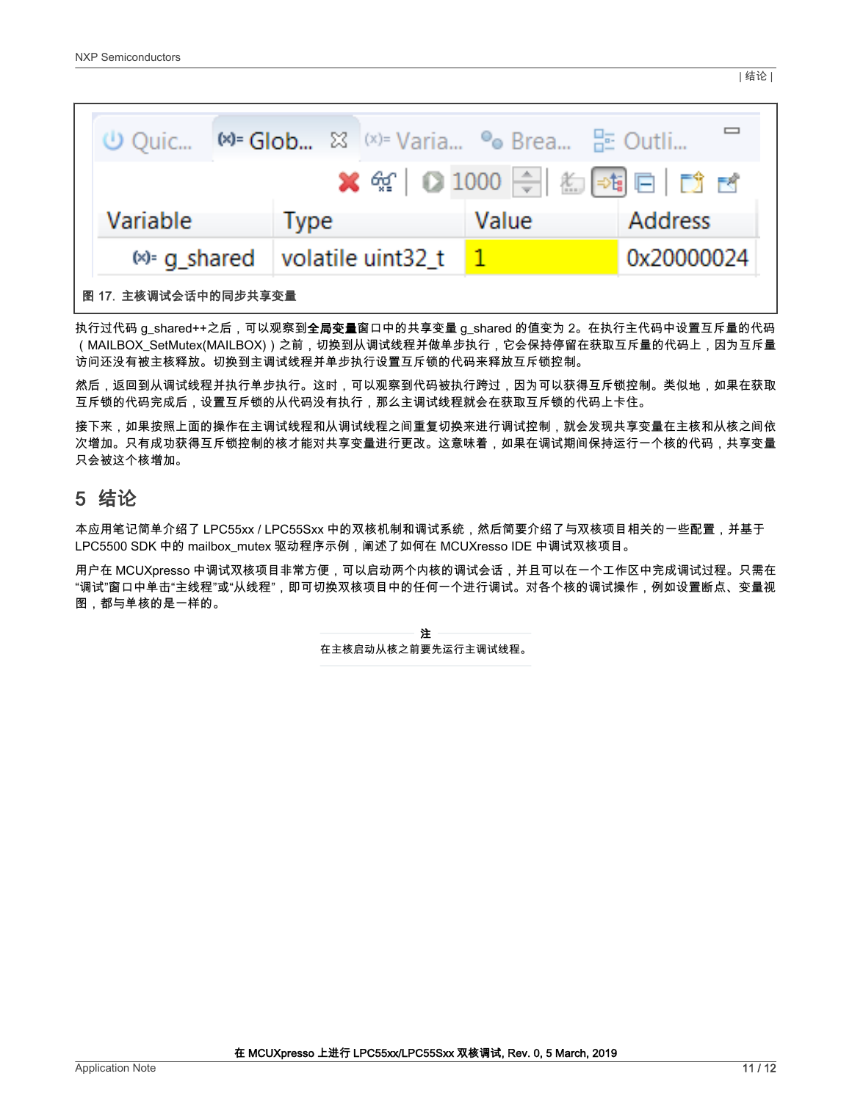<span id="page-10-0"></span>

| $\cup$ Quic          |             | $M = Glob$ $\otimes$ $(x) = Varia$ • Brea $E = Outii$ |       |                                      |
|----------------------|-------------|-------------------------------------------------------|-------|--------------------------------------|
|                      |             |                                                       |       | <b>※</b> 第   ● 1000 令   約 55 日   第 百 |
| Variable             | <b>Type</b> |                                                       | Value | <b>Address</b>                       |
|                      |             | $\otimes$ g_shared   volatile uint32_t                |       | 0x20000024                           |
| 图 17. 主核调试会话中的同步共享变量 |             |                                                       |       |                                      |

执行过代码 g\_shared++之后,可以观察到**全局变量**窗口中的共享变量 g\_shared 的值变为 2。在执行主代码中设置互斥量的代码 (MAILBOX\_SetMutex(MAILBOX))之前,切换到从调试线程并做单步执行,它会保持停留在获取互斥量的代码上,因为互斥量 访问还没有被主核释放。切换到主调试线程并单步执行设置互斥锁的代码来释放互斥锁控制。

然后,返回到从调试线程并执行单步执行。这时,可以观察到代码被执行跨过,因为可以获得互斥锁控制。类似地,如果在获取 互斥锁的代码完成后,设置互斥锁的从代码没有执行,那么主调试线程就会在获取互斥锁的代码上卡住。

接下来,如果按照上面的操作在主调试线程和从调试线程之间重复切换来进行调试控制,就会发现共享变量在主核和从核之间依 次增加。只有成功获得互斥锁控制的核才能对共享变量进行更改。这意味着,如果在调试期间保持运行一个核的代码,共享变量 只会被这个核增加。

# 5 结论

本应用笔记简单介绍了 LPC55xx / LPC55Sxx 中的双核机制和调试系统,然后简要介绍了与双核项目相关的一些配置,并基于 LPC5500 SDK 中的 mailbox\_mutex 驱动程序示例,阐述了如何在 MCUXresso IDE 中调试双核项目。

用户在 MCUXpresso 中调试双核项目非常方便,可以启动两个内核的调试会话,并且可以在一个工作区中完成调试过程。只需在 "调试"窗口中单击"主线程"或"从线程",即可切换双核项目中的任何一个进行调试。对各个核的调试操作,例如设置断点、变量视 图,都与单核的是一样的。

> 在主核启动从核之前要先运行主调试线程。 注

| 结论 |